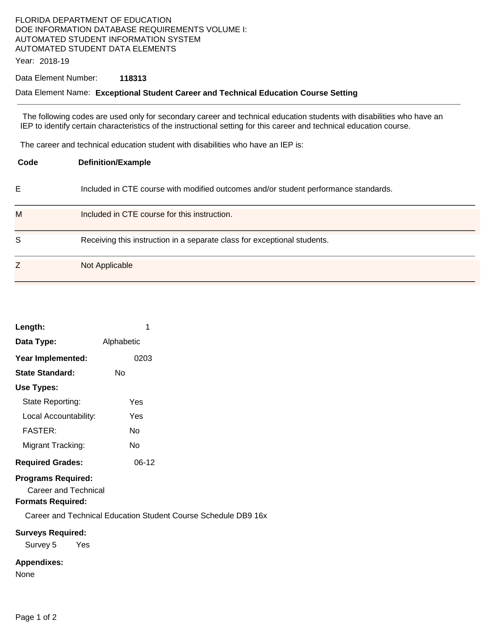# FLORIDA DEPARTMENT OF EDUCATION DOE INFORMATION DATABASE REQUIREMENTS VOLUME I: AUTOMATED STUDENT INFORMATION SYSTEM AUTOMATED STUDENT DATA ELEMENTS

Year: 2018-19

### Data Element Number: **118313**

#### Data Element Name: **Exceptional Student Career and Technical Education Course Setting**

 The following codes are used only for secondary career and technical education students with disabilities who have an IEP to identify certain characteristics of the instructional setting for this career and technical education course.

The career and technical education student with disabilities who have an IEP is:

| Code | <b>Definition/Example</b>                                                           |
|------|-------------------------------------------------------------------------------------|
| Е    | Included in CTE course with modified outcomes and/or student performance standards. |
| M    | Included in CTE course for this instruction.                                        |
| S    | Receiving this instruction in a separate class for exceptional students.            |
| Z    | Not Applicable                                                                      |

| Length:                                           | 1          |
|---------------------------------------------------|------------|
| Data Type:                                        | Alphabetic |
| Year Implemented:                                 | 0203       |
| <b>State Standard:</b>                            | N٥         |
| Use Types:                                        |            |
| State Reporting:                                  | Yes        |
| Local Accountability:                             | Yes        |
| <b>FASTER:</b>                                    | N٥         |
| Migrant Tracking:                                 | N٥         |
| <b>Required Grades:</b>                           | 06-12      |
| <b>Programs Required:</b><br>Career and Technical |            |

# **Formats Required:**

Career and Technical Education Student Course Schedule DB9 16x

## **Surveys Required:**

Survey 5 Yes

# **Appendixes:**

None